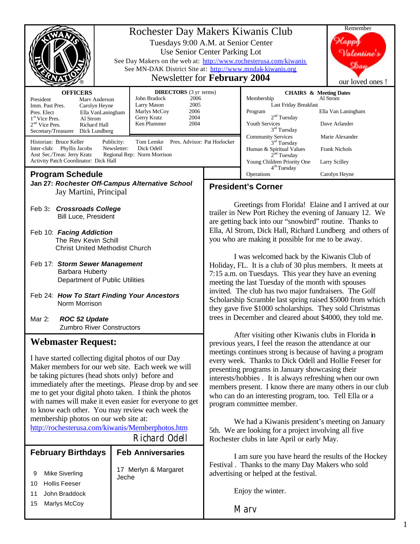|                                                                                                                                                                                                                                                                                                                                                                                                | Rochester Day Makers Kiwanis Club<br>Tuesdays 9:00 A.M. at Senior Center<br>Use Senior Center Parking Lot<br>See Day Makers on the web at: http://www.rochesterusa.com/kiwanis<br>See MN-DAK District Site at: http://www.mndak-kiwanis.org<br>Newsletter for February 2004 |                                                                                                                                                                                                                                                                                                                                                                                                                                                                                                                                                                                                                                                                                                                                                                      |                                                                                                                                                   | Remember<br>Valentine<br>$\mathfrak{D}au$<br>our loved ones !                                                                                    |
|------------------------------------------------------------------------------------------------------------------------------------------------------------------------------------------------------------------------------------------------------------------------------------------------------------------------------------------------------------------------------------------------|-----------------------------------------------------------------------------------------------------------------------------------------------------------------------------------------------------------------------------------------------------------------------------|----------------------------------------------------------------------------------------------------------------------------------------------------------------------------------------------------------------------------------------------------------------------------------------------------------------------------------------------------------------------------------------------------------------------------------------------------------------------------------------------------------------------------------------------------------------------------------------------------------------------------------------------------------------------------------------------------------------------------------------------------------------------|---------------------------------------------------------------------------------------------------------------------------------------------------|--------------------------------------------------------------------------------------------------------------------------------------------------|
| <b>OFFICERS</b><br>President<br>Marv Anderson<br>Imm. Past Pres.<br>Carolyn Heyne<br>Ella VanLaningham<br>Pres. Elect<br>1 <sup>st</sup> Vice Pres.<br>Al Strom<br>$2nd$ Vice Pres.<br>Richard Hall<br>Secretary/Treasurer<br>Dick Lundberg<br>Historian: Bruce Keller<br>Inter-club: Phyllis Jacobs<br>Asst Sec./Treas: Jerry Kratz<br>Activity Patch Coordinator: Dick Hall                  | John Bradock<br>2006<br>2005<br>Larry Mason<br>Marlys McCoy<br>2006<br>Gerry Kratz<br>2004<br>Ken Plummer<br>2004<br>Publicity:<br>Tom Lemke<br>Newsletter:<br>Dick Odell<br>Regional Rep: Norm Morrison                                                                    | <b>DIRECTORS</b> (3 yr terms)<br>Pres. Advisor: Pat Horlocker                                                                                                                                                                                                                                                                                                                                                                                                                                                                                                                                                                                                                                                                                                        |                                                                                                                                                   | <b>CHAIRS &amp; Meeting Dates</b><br>Al Strom<br>Ella Van Laningham<br>Dave Arlander<br>Marie Alexander<br><b>Frank Nichols</b><br>Larry Scilley |
|                                                                                                                                                                                                                                                                                                                                                                                                |                                                                                                                                                                                                                                                                             |                                                                                                                                                                                                                                                                                                                                                                                                                                                                                                                                                                                                                                                                                                                                                                      | 4 <sup>th</sup> Tuesday<br>Operations                                                                                                             |                                                                                                                                                  |
| <b>Program Schedule</b><br>Jan 27: Rochester Off-Campus Alternative School<br>Jay Martini, Principal                                                                                                                                                                                                                                                                                           |                                                                                                                                                                                                                                                                             | Carolyn Heyne<br><b>President's Corner</b>                                                                                                                                                                                                                                                                                                                                                                                                                                                                                                                                                                                                                                                                                                                           |                                                                                                                                                   |                                                                                                                                                  |
| <b>Crossroads College</b><br>Feb 3:<br><b>Bill Luce, President</b><br>Feb 10: Facing Addiction                                                                                                                                                                                                                                                                                                 |                                                                                                                                                                                                                                                                             | Greetings from Florida! Elaine and I arrived at our<br>trailer in New Port Richey the evening of January 12. We<br>are getting back into our "snowbird" routine. Thanks to<br>Ella, Al Strom, Dick Hall, Richard Lundberg and others of<br>you who are making it possible for me to be away.<br>I was welcomed back by the Kiwanis Club of<br>Holiday, FL. It is a club of 30 plus members. It meets at<br>7:15 a.m. on Tuesdays. This year they have an evening<br>meeting the last Tuesday of the month with spouses<br>invited. The club has two major fundraisers. The Golf<br>Scholarship Scramble last spring raised \$5000 from which<br>they gave five \$1000 scholarships. They sold Christmas<br>trees in December and cleared about \$4000, they told me. |                                                                                                                                                   |                                                                                                                                                  |
| The Rev Kevin Schill<br><b>Christ United Methodist Church</b>                                                                                                                                                                                                                                                                                                                                  |                                                                                                                                                                                                                                                                             |                                                                                                                                                                                                                                                                                                                                                                                                                                                                                                                                                                                                                                                                                                                                                                      |                                                                                                                                                   |                                                                                                                                                  |
| Feb 17: Storm Sewer Management<br>Barbara Huberty<br>Department of Public Utilities                                                                                                                                                                                                                                                                                                            |                                                                                                                                                                                                                                                                             |                                                                                                                                                                                                                                                                                                                                                                                                                                                                                                                                                                                                                                                                                                                                                                      |                                                                                                                                                   |                                                                                                                                                  |
| Feb 24: How To Start Finding Your Ancestors<br>Norm Morrison                                                                                                                                                                                                                                                                                                                                   |                                                                                                                                                                                                                                                                             |                                                                                                                                                                                                                                                                                                                                                                                                                                                                                                                                                                                                                                                                                                                                                                      |                                                                                                                                                   |                                                                                                                                                  |
| Mar 2:<br><b>ROC 52 Update</b><br><b>Zumbro River Constructors</b>                                                                                                                                                                                                                                                                                                                             |                                                                                                                                                                                                                                                                             |                                                                                                                                                                                                                                                                                                                                                                                                                                                                                                                                                                                                                                                                                                                                                                      |                                                                                                                                                   |                                                                                                                                                  |
| <b>Webmaster Request:</b>                                                                                                                                                                                                                                                                                                                                                                      |                                                                                                                                                                                                                                                                             | After visiting other Kiwanis clubs in Florida in<br>previous years, I feel the reason the attendance at our                                                                                                                                                                                                                                                                                                                                                                                                                                                                                                                                                                                                                                                          |                                                                                                                                                   |                                                                                                                                                  |
| I have started collecting digital photos of our Day<br>Maker members for our web site. Each week we will<br>be taking pictures (head shots only) before and<br>immediately after the meetings. Please drop by and see<br>me to get your digital photo taken. I think the photos<br>with names will make it even easier for everyone to get<br>to know each other. You may review each week the |                                                                                                                                                                                                                                                                             | meetings continues strong is because of having a program<br>every week. Thanks to Dick Odell and Hollie Feeser for<br>presenting programs in January showcasing their<br>interests/hobbies . It is always refreshing when our own<br>members present. I know there are many others in our club<br>who can do an interesting program, too. Tell Ella or a<br>program committee member.                                                                                                                                                                                                                                                                                                                                                                                |                                                                                                                                                   |                                                                                                                                                  |
| membership photos on our web site at:<br>http://rochesterusa.com/kiwanis/Memberphotos.htm                                                                                                                                                                                                                                                                                                      |                                                                                                                                                                                                                                                                             | We had a Kiwanis president's meeting on January<br>5th. We are looking for a project involving all five                                                                                                                                                                                                                                                                                                                                                                                                                                                                                                                                                                                                                                                              |                                                                                                                                                   |                                                                                                                                                  |
|                                                                                                                                                                                                                                                                                                                                                                                                | Richard Odell                                                                                                                                                                                                                                                               |                                                                                                                                                                                                                                                                                                                                                                                                                                                                                                                                                                                                                                                                                                                                                                      | Rochester clubs in late April or early May.                                                                                                       |                                                                                                                                                  |
| <b>February Birthdays</b><br><b>Mike Siverling</b><br>9                                                                                                                                                                                                                                                                                                                                        | <b>Feb Anniversaries</b><br>17 Merlyn & Margaret<br>Jeche                                                                                                                                                                                                                   |                                                                                                                                                                                                                                                                                                                                                                                                                                                                                                                                                                                                                                                                                                                                                                      | I am sure you have heard the results of the Hockey<br>Festival . Thanks to the many Day Makers who sold<br>advertising or helped at the festival. |                                                                                                                                                  |
| <b>Hollis Feeser</b><br>10                                                                                                                                                                                                                                                                                                                                                                     |                                                                                                                                                                                                                                                                             |                                                                                                                                                                                                                                                                                                                                                                                                                                                                                                                                                                                                                                                                                                                                                                      | Enjoy the winter.                                                                                                                                 |                                                                                                                                                  |
| John Braddock<br>11<br>Marlys McCoy<br>15                                                                                                                                                                                                                                                                                                                                                      |                                                                                                                                                                                                                                                                             |                                                                                                                                                                                                                                                                                                                                                                                                                                                                                                                                                                                                                                                                                                                                                                      | Marv                                                                                                                                              |                                                                                                                                                  |